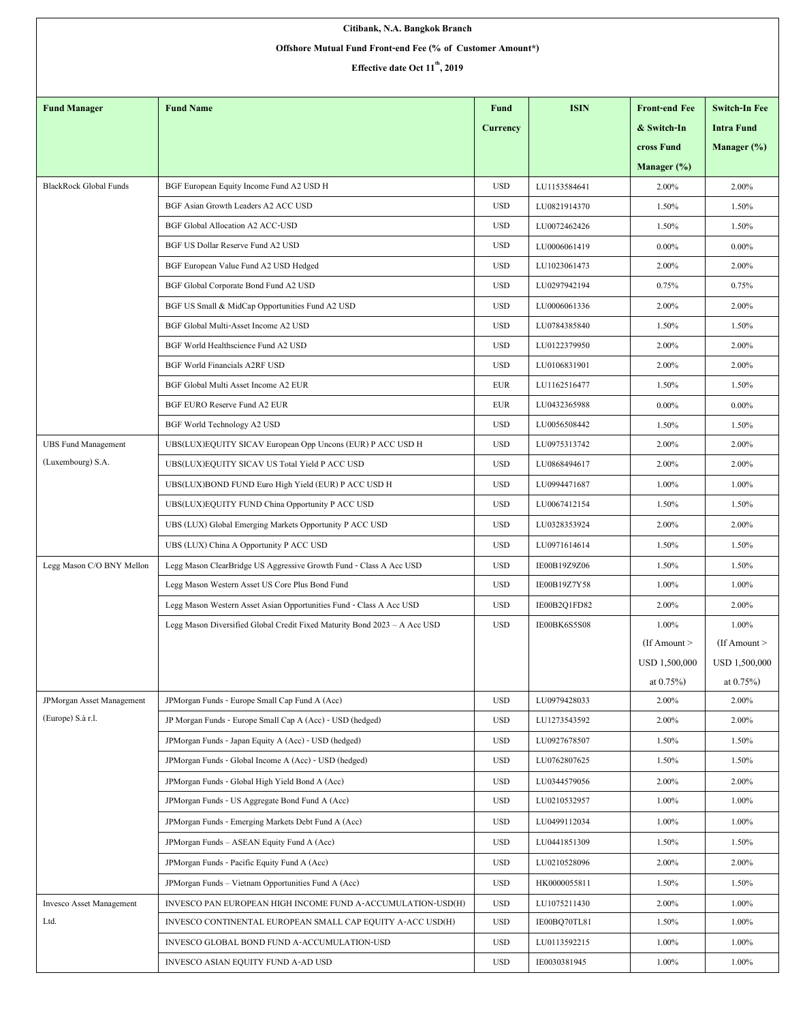| Citibank, N.A. Bangkok Branch                              |                                                                           |            |                              |                          |                         |  |  |  |  |  |
|------------------------------------------------------------|---------------------------------------------------------------------------|------------|------------------------------|--------------------------|-------------------------|--|--|--|--|--|
| Offshore Mutual Fund Front-end Fee (% of Customer Amount*) |                                                                           |            |                              |                          |                         |  |  |  |  |  |
| Effective date Oct 11 <sup>th</sup> , 2019                 |                                                                           |            |                              |                          |                         |  |  |  |  |  |
|                                                            |                                                                           |            |                              |                          |                         |  |  |  |  |  |
| <b>Fund Manager</b>                                        | <b>Fund Name</b>                                                          | Fund       | <b>ISIN</b>                  | <b>Front-end Fee</b>     | <b>Switch-In Fee</b>    |  |  |  |  |  |
|                                                            |                                                                           | Currency   |                              | & Switch-In              | <b>Intra Fund</b>       |  |  |  |  |  |
|                                                            |                                                                           |            |                              | cross Fund               | Manager $(\%)$          |  |  |  |  |  |
|                                                            |                                                                           |            |                              | Manager $(\%)$           |                         |  |  |  |  |  |
| <b>BlackRock Global Funds</b>                              | BGF European Equity Income Fund A2 USD H                                  | <b>USD</b> | LU1153584641                 | 2.00%                    | 2.00%                   |  |  |  |  |  |
|                                                            | BGF Asian Growth Leaders A2 ACC USD                                       | <b>USD</b> | LU0821914370                 | 1.50%                    | 1.50%                   |  |  |  |  |  |
|                                                            | <b>BGF Global Allocation A2 ACC-USD</b>                                   | <b>USD</b> | LU0072462426                 | 1.50%                    | 1.50%                   |  |  |  |  |  |
|                                                            | BGF US Dollar Reserve Fund A2 USD                                         | <b>USD</b> | LU0006061419                 | $0.00\%$                 | $0.00\%$                |  |  |  |  |  |
|                                                            | BGF European Value Fund A2 USD Hedged                                     | <b>USD</b> | LU1023061473                 | 2.00%                    | 2.00%                   |  |  |  |  |  |
|                                                            | BGF Global Corporate Bond Fund A2 USD                                     | <b>USD</b> | LU0297942194                 | 0.75%                    | 0.75%                   |  |  |  |  |  |
|                                                            | BGF US Small & MidCap Opportunities Fund A2 USD                           | <b>USD</b> | LU0006061336                 | 2.00%                    | 2.00%                   |  |  |  |  |  |
|                                                            | BGF Global Multi-Asset Income A2 USD                                      | <b>USD</b> | LU0784385840                 | 1.50%                    | 1.50%                   |  |  |  |  |  |
|                                                            | BGF World Healthscience Fund A2 USD                                       | <b>USD</b> | LU0122379950                 | 2.00%                    | 2.00%                   |  |  |  |  |  |
|                                                            | <b>BGF World Financials A2RF USD</b>                                      | <b>USD</b> | LU0106831901                 | 2.00%                    | 2.00%                   |  |  |  |  |  |
|                                                            | BGF Global Multi Asset Income A2 EUR                                      | <b>EUR</b> | LU1162516477                 | 1.50%                    | 1.50%                   |  |  |  |  |  |
|                                                            | BGF EURO Reserve Fund A2 EUR                                              | EUR        | LU0432365988                 | $0.00\%$                 | $0.00\%$                |  |  |  |  |  |
|                                                            | BGF World Technology A2 USD                                               | <b>USD</b> | LU0056508442                 | 1.50%                    | 1.50%                   |  |  |  |  |  |
| <b>UBS Fund Management</b>                                 | UBS(LUX)EQUITY SICAV European Opp Uncons (EUR) P ACC USD H                | <b>USD</b> | LU0975313742                 | 2.00%                    | 2.00%                   |  |  |  |  |  |
| (Luxembourg) S.A.                                          | UBS(LUX)EQUITY SICAV US Total Yield P ACC USD                             | <b>USD</b> | LU0868494617                 | 2.00%                    | 2.00%                   |  |  |  |  |  |
|                                                            | UBS(LUX)BOND FUND Euro High Yield (EUR) P ACC USD H                       | <b>USD</b> | LU0994471687                 | 1.00%                    | 1.00%                   |  |  |  |  |  |
|                                                            | UBS(LUX)EQUITY FUND China Opportunity P ACC USD                           | <b>USD</b> | LU0067412154                 | 1.50%                    | 1.50%                   |  |  |  |  |  |
|                                                            | UBS (LUX) Global Emerging Markets Opportunity P ACC USD                   | <b>USD</b> | LU0328353924                 | 2.00%                    | 2.00%                   |  |  |  |  |  |
|                                                            |                                                                           | <b>USD</b> | LU0971614614                 | 1.50%                    | 1.50%                   |  |  |  |  |  |
|                                                            | UBS (LUX) China A Opportunity P ACC USD                                   |            |                              |                          |                         |  |  |  |  |  |
| Legg Mason C/O BNY Mellon                                  | Legg Mason ClearBridge US Aggressive Growth Fund - Class A Acc USD        | <b>USD</b> | IE00B19Z9Z06<br>IE00B19Z7Y58 | 1.50%                    | 1.50%                   |  |  |  |  |  |
|                                                            | Legg Mason Western Asset US Core Plus Bond Fund                           | <b>USD</b> |                              | 1.00%                    | 1.00%                   |  |  |  |  |  |
|                                                            | Legg Mason Western Asset Asian Opportunities Fund - Class A Acc USD       | <b>USD</b> | IE00B2Q1FD82                 | 2.00%                    | 2.00%                   |  |  |  |  |  |
|                                                            | Legg Mason Diversified Global Credit Fixed Maturity Bond 2023 - A Acc USD | <b>USD</b> | IE00BK6S5S08                 | 1.00%<br>$If$ Amount $>$ | 1.00%<br>(If Amount $>$ |  |  |  |  |  |
|                                                            |                                                                           |            |                              | USD 1,500,000            | USD 1,500,000           |  |  |  |  |  |
|                                                            |                                                                           |            |                              | at $0.75%$               | at $0.75\%$ )           |  |  |  |  |  |
| JPMorgan Asset Management                                  | JPMorgan Funds - Europe Small Cap Fund A (Acc)                            | <b>USD</b> | LU0979428033                 | 2.00%                    | 2.00%                   |  |  |  |  |  |
| (Europe) S.à r.l.                                          | JP Morgan Funds - Europe Small Cap A (Acc) - USD (hedged)                 | <b>USD</b> | LU1273543592                 | 2.00%                    | 2.00%                   |  |  |  |  |  |
|                                                            | JPMorgan Funds - Japan Equity A (Acc) - USD (hedged)                      | <b>USD</b> | LU0927678507                 | 1.50%                    | 1.50%                   |  |  |  |  |  |
|                                                            | JPMorgan Funds - Global Income A (Acc) - USD (hedged)                     | <b>USD</b> | LU0762807625                 | 1.50%                    | 1.50%                   |  |  |  |  |  |
|                                                            |                                                                           |            |                              |                          |                         |  |  |  |  |  |
|                                                            | JPMorgan Funds - Global High Yield Bond A (Acc)                           | <b>USD</b> | LU0344579056                 | 2.00%                    | 2.00%                   |  |  |  |  |  |
|                                                            | JPMorgan Funds - US Aggregate Bond Fund A (Acc)                           | <b>USD</b> | LU0210532957                 | 1.00%                    | 1.00%                   |  |  |  |  |  |
|                                                            | JPMorgan Funds - Emerging Markets Debt Fund A (Acc)                       | <b>USD</b> | LU0499112034                 | 1.00%                    | 1.00%                   |  |  |  |  |  |
|                                                            | JPMorgan Funds - ASEAN Equity Fund A (Acc)                                | <b>USD</b> | LU0441851309                 | 1.50%                    | 1.50%                   |  |  |  |  |  |
|                                                            | JPMorgan Funds - Pacific Equity Fund A (Acc)                              | <b>USD</b> | LU0210528096                 | 2.00%                    | 2.00%                   |  |  |  |  |  |
|                                                            | JPMorgan Funds - Vietnam Opportunities Fund A (Acc)                       | <b>USD</b> | HK0000055811                 | 1.50%                    | 1.50%                   |  |  |  |  |  |
| Invesco Asset Management                                   | INVESCO PAN EUROPEAN HIGH INCOME FUND A-ACCUMULATION-USD(H)               | <b>USD</b> | LU1075211430                 | 2.00%                    | 1.00%                   |  |  |  |  |  |
| Ltd.                                                       | INVESCO CONTINENTAL EUROPEAN SMALL CAP EQUITY A-ACC USD(H)                | <b>USD</b> | IE00BQ70TL81                 | 1.50%                    | 1.00%                   |  |  |  |  |  |
|                                                            | INVESCO GLOBAL BOND FUND A-ACCUMULATION-USD                               | <b>USD</b> | LU0113592215                 | 1.00%                    | 1.00%                   |  |  |  |  |  |
|                                                            | INVESCO ASIAN EQUITY FUND A-AD USD                                        | <b>USD</b> | IE0030381945                 | 1.00%                    | 1.00%                   |  |  |  |  |  |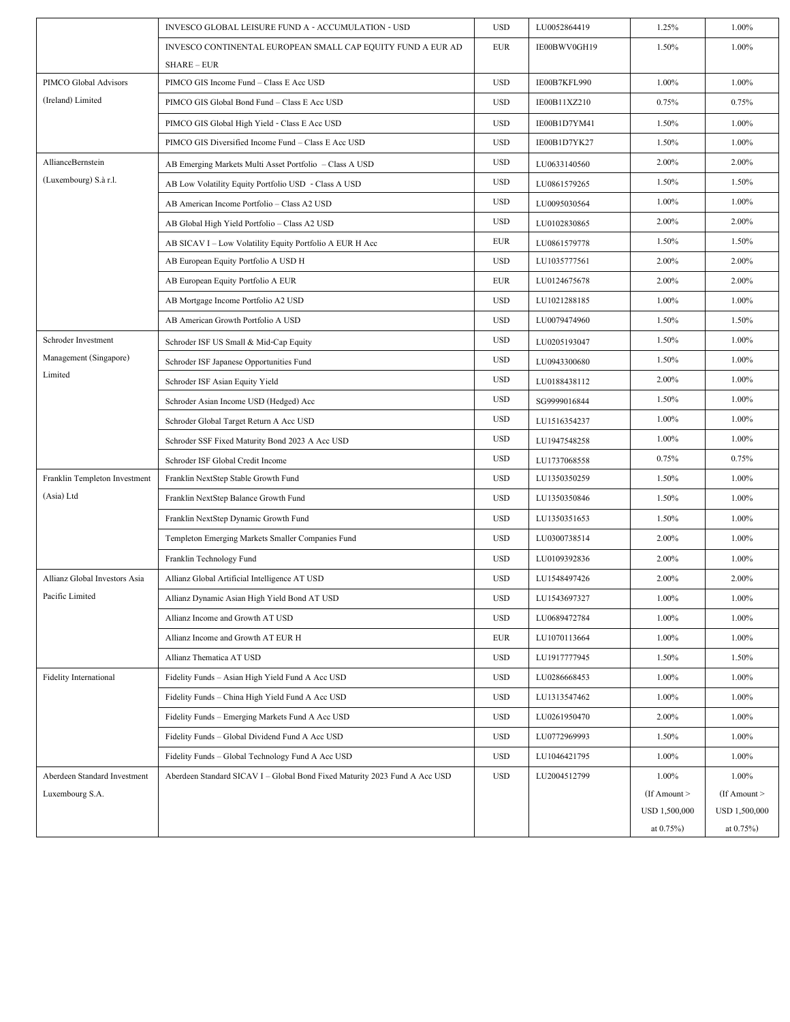|                               | INVESCO GLOBAL LEISURE FUND A - ACCUMULATION - USD                         | <b>USD</b> | LU0052864419 | 1.25%             | 1.00%             |
|-------------------------------|----------------------------------------------------------------------------|------------|--------------|-------------------|-------------------|
|                               | INVESCO CONTINENTAL EUROPEAN SMALL CAP EQUITY FUND A EUR AD                | <b>EUR</b> | IE00BWV0GH19 | 1.50%             | 1.00%             |
|                               | SHARE-EUR                                                                  |            |              |                   |                   |
| PIMCO Global Advisors         | PIMCO GIS Income Fund - Class E Acc USD                                    | <b>USD</b> | IE00B7KFL990 | 1.00%             | 1.00%             |
| (Ireland) Limited             | PIMCO GIS Global Bond Fund - Class E Acc USD                               | <b>USD</b> | IE00B11XZ210 | 0.75%             | 0.75%             |
|                               | PIMCO GIS Global High Yield - Class E Acc USD                              | <b>USD</b> | IE00B1D7YM41 | 1.50%             | 1.00%             |
|                               | PIMCO GIS Diversified Income Fund - Class E Acc USD                        | <b>USD</b> | IE00B1D7YK27 | 1.50%             | 1.00%             |
| AllianceBernstein             | AB Emerging Markets Multi Asset Portfolio - Class A USD                    | <b>USD</b> | LU0633140560 | 2.00%             | 2.00%             |
| (Luxembourg) S.à r.l.         | AB Low Volatility Equity Portfolio USD - Class A USD                       | <b>USD</b> | LU0861579265 | 1.50%             | 1.50%             |
|                               | AB American Income Portfolio - Class A2 USD                                | <b>USD</b> | LU0095030564 | 1.00%             | 1.00%             |
|                               | AB Global High Yield Portfolio - Class A2 USD                              | <b>USD</b> | LU0102830865 | 2.00%             | 2.00%             |
|                               | AB SICAV I - Low Volatility Equity Portfolio A EUR H Acc                   | <b>EUR</b> | LU0861579778 | 1.50%             | 1.50%             |
|                               | AB European Equity Portfolio A USD H                                       | <b>USD</b> | LU1035777561 | 2.00%             | 2.00%             |
|                               | AB European Equity Portfolio A EUR                                         | <b>EUR</b> | LU0124675678 | 2.00%             | 2.00%             |
|                               | AB Mortgage Income Portfolio A2 USD                                        | <b>USD</b> | LU1021288185 | 1.00%             | 1.00%             |
|                               | AB American Growth Portfolio A USD                                         | <b>USD</b> | LU0079474960 | 1.50%             | 1.50%             |
| Schroder Investment           | Schroder ISF US Small & Mid-Cap Equity                                     | <b>USD</b> | LU0205193047 | 1.50%             | 1.00%             |
| Management (Singapore)        | Schroder ISF Japanese Opportunities Fund                                   | <b>USD</b> | LU0943300680 | 1.50%             | 1.00%             |
| Limited                       | Schroder ISF Asian Equity Yield                                            | <b>USD</b> | LU0188438112 | 2.00%             | 1.00%             |
|                               | Schroder Asian Income USD (Hedged) Acc                                     | <b>USD</b> | SG9999016844 | 1.50%             | 1.00%             |
|                               | Schroder Global Target Return A Acc USD                                    | <b>USD</b> | LU1516354237 | 1.00%             | 1.00%             |
|                               | Schroder SSF Fixed Maturity Bond 2023 A Acc USD                            | <b>USD</b> | LU1947548258 | 1.00%             | 1.00%             |
|                               | Schroder ISF Global Credit Income                                          | <b>USD</b> | LU1737068558 | 0.75%             | 0.75%             |
| Franklin Templeton Investment | Franklin NextStep Stable Growth Fund                                       | <b>USD</b> | LU1350350259 | 1.50%             | 1.00%             |
| (Asia) Ltd                    | Franklin NextStep Balance Growth Fund                                      | <b>USD</b> | LU1350350846 | 1.50%             | 1.00%             |
|                               | Franklin NextStep Dynamic Growth Fund                                      | <b>USD</b> | LU1350351653 | 1.50%             | 1.00%             |
|                               | Templeton Emerging Markets Smaller Companies Fund                          | <b>USD</b> | LU0300738514 | 2.00%             | 1.00%             |
|                               | Franklin Technology Fund                                                   | <b>USD</b> | LU0109392836 | 2.00%             | 1.00%             |
| Allianz Global Investors Asia | Allianz Global Artificial Intelligence AT USD                              | <b>USD</b> | LU1548497426 | 2.00%             | 2.00%             |
| Pacific Limited               | Allianz Dynamic Asian High Yield Bond AT USD                               | <b>USD</b> | LU1543697327 | $1.00\%$          | 1.00%             |
|                               | Allianz Income and Growth AT USD                                           | <b>USD</b> | LU0689472784 | 1.00%             | 1.00%             |
|                               | Allianz Income and Growth AT EUR H                                         | <b>EUR</b> | LU1070113664 | 1.00%             | 1.00%             |
|                               | Allianz Thematica AT USD                                                   | <b>USD</b> | LU1917777945 | 1.50%             | 1.50%             |
| <b>Fidelity International</b> | Fidelity Funds - Asian High Yield Fund A Acc USD                           | <b>USD</b> | LU0286668453 | 1.00%             | 1.00%             |
|                               | Fidelity Funds - China High Yield Fund A Acc USD                           | <b>USD</b> | LU1313547462 | 1.00%             | 1.00%             |
|                               | Fidelity Funds - Emerging Markets Fund A Acc USD                           | <b>USD</b> | LU0261950470 | 2.00%             | 1.00%             |
|                               | Fidelity Funds - Global Dividend Fund A Acc USD                            | <b>USD</b> | LU0772969993 | 1.50%             | 1.00%             |
|                               | Fidelity Funds - Global Technology Fund A Acc USD                          | <b>USD</b> | LU1046421795 | 1.00%             | 1.00%             |
| Aberdeen Standard Investment  | Aberdeen Standard SICAV I - Global Bond Fixed Maturity 2023 Fund A Acc USD | <b>USD</b> | LU2004512799 | 1.00%             | $1.00\%$          |
| Luxembourg S.A.               |                                                                            |            |              | $($ If Amount $>$ | $($ If Amount $>$ |
|                               |                                                                            |            |              | USD 1,500,000     | USD 1,500,000     |
|                               |                                                                            |            |              | at $0.75%$        | at $0.75%$        |